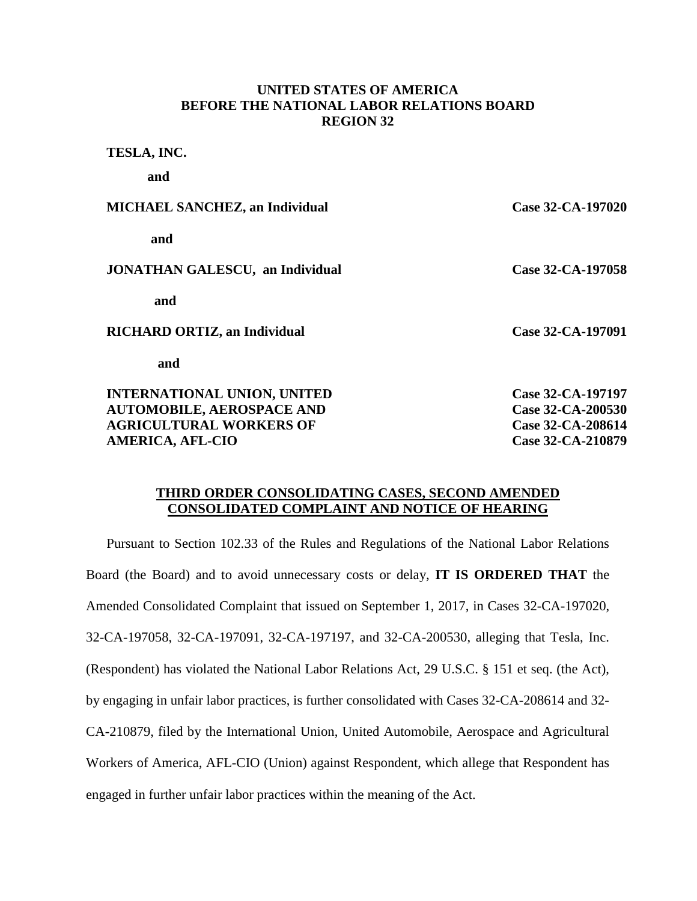# **UNITED STATES OF AMERICA BEFORE THE NATIONAL LABOR RELATIONS BOARD REGION 32**

**TESLA, INC.**

**and**

| <b>MICHAEL SANCHEZ, an Individual</b>  | Case 32-CA-197020 |
|----------------------------------------|-------------------|
| and                                    |                   |
| <b>JONATHAN GALESCU, an Individual</b> | Case 32-CA-197058 |
| and                                    |                   |
| <b>RICHARD ORTIZ, an Individual</b>    | Case 32-CA-197091 |
| and                                    |                   |
| <b>INTERNATIONAL UNION, UNITED</b>     | Case 32-CA-197197 |
| <b>AUTOMOBILE, AEROSPACE AND</b>       | Case 32-CA-200530 |
| <b>AGRICULTURAL WORKERS OF</b>         | Case 32-CA-208614 |
| <b>AMERICA, AFL-CIO</b>                | Case 32-CA-210879 |

## **THIRD ORDER CONSOLIDATING CASES, SECOND AMENDED CONSOLIDATED COMPLAINT AND NOTICE OF HEARING**

Pursuant to Section 102.33 of the Rules and Regulations of the National Labor Relations Board (the Board) and to avoid unnecessary costs or delay, **IT IS ORDERED THAT** the Amended Consolidated Complaint that issued on September 1, 2017, in Cases 32-CA-197020, 32-CA-197058, 32-CA-197091, 32-CA-197197, and 32-CA-200530, alleging that Tesla, Inc. (Respondent) has violated the National Labor Relations Act, 29 U.S.C. § 151 et seq. (the Act), by engaging in unfair labor practices, is further consolidated with Cases 32-CA-208614 and 32- CA-210879, filed by the International Union, United Automobile, Aerospace and Agricultural Workers of America, AFL-CIO (Union) against Respondent, which allege that Respondent has engaged in further unfair labor practices within the meaning of the Act.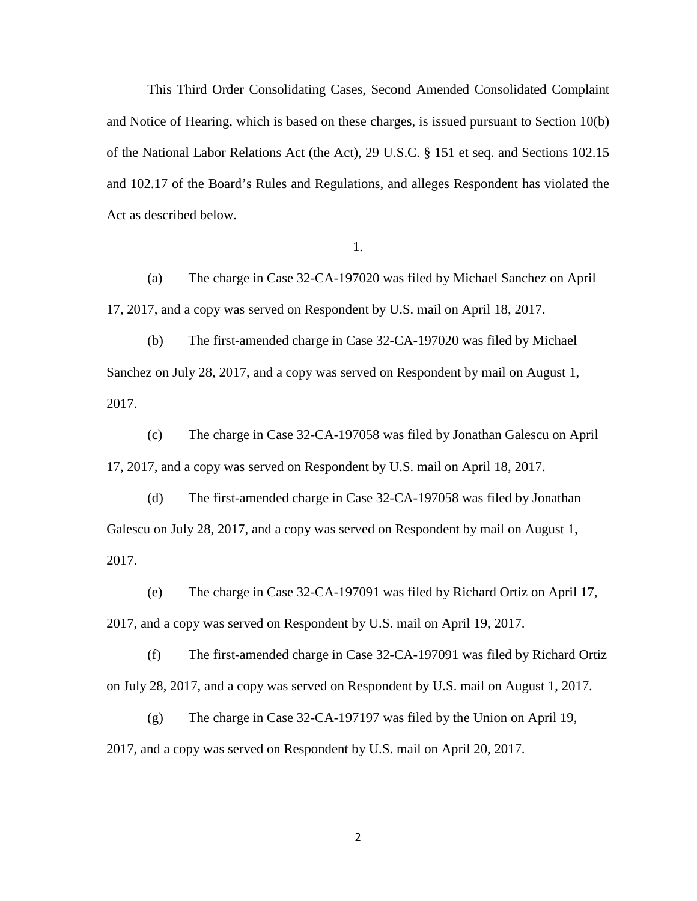This Third Order Consolidating Cases, Second Amended Consolidated Complaint and Notice of Hearing, which is based on these charges, is issued pursuant to Section 10(b) of the National Labor Relations Act (the Act), 29 U.S.C. § 151 et seq. and Sections 102.15 and 102.17 of the Board's Rules and Regulations, and alleges Respondent has violated the Act as described below.

1.

(a) The charge in Case 32-CA-197020 was filed by Michael Sanchez on April 17, 2017, and a copy was served on Respondent by U.S. mail on April 18, 2017.

(b) The first-amended charge in Case 32-CA-197020 was filed by Michael Sanchez on July 28, 2017, and a copy was served on Respondent by mail on August 1, 2017.

(c) The charge in Case 32-CA-197058 was filed by Jonathan Galescu on April 17, 2017, and a copy was served on Respondent by U.S. mail on April 18, 2017.

(d) The first-amended charge in Case 32-CA-197058 was filed by Jonathan Galescu on July 28, 2017, and a copy was served on Respondent by mail on August 1, 2017.

(e) The charge in Case 32-CA-197091 was filed by Richard Ortiz on April 17, 2017, and a copy was served on Respondent by U.S. mail on April 19, 2017.

(f) The first-amended charge in Case 32-CA-197091 was filed by Richard Ortiz on July 28, 2017, and a copy was served on Respondent by U.S. mail on August 1, 2017.

(g) The charge in Case 32-CA-197197 was filed by the Union on April 19, 2017, and a copy was served on Respondent by U.S. mail on April 20, 2017.

2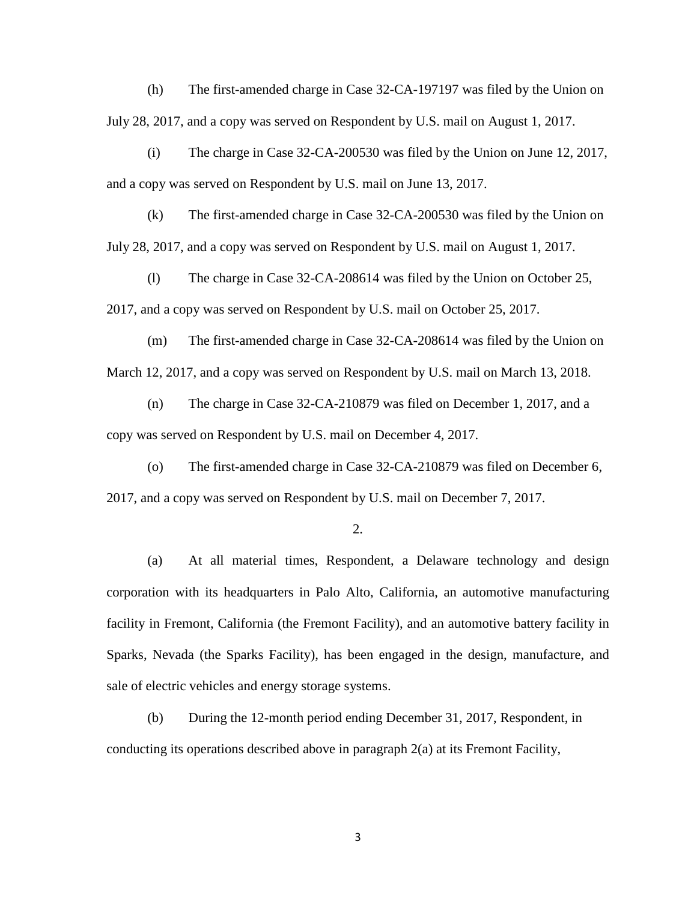(h) The first-amended charge in Case 32-CA-197197 was filed by the Union on July 28, 2017, and a copy was served on Respondent by U.S. mail on August 1, 2017.

(i) The charge in Case 32-CA-200530 was filed by the Union on June 12, 2017, and a copy was served on Respondent by U.S. mail on June 13, 2017.

(k) The first-amended charge in Case 32-CA-200530 was filed by the Union on July 28, 2017, and a copy was served on Respondent by U.S. mail on August 1, 2017.

(l) The charge in Case 32-CA-208614 was filed by the Union on October 25, 2017, and a copy was served on Respondent by U.S. mail on October 25, 2017.

(m) The first-amended charge in Case 32-CA-208614 was filed by the Union on March 12, 2017, and a copy was served on Respondent by U.S. mail on March 13, 2018.

(n) The charge in Case 32-CA-210879 was filed on December 1, 2017, and a copy was served on Respondent by U.S. mail on December 4, 2017.

(o) The first-amended charge in Case 32-CA-210879 was filed on December 6, 2017, and a copy was served on Respondent by U.S. mail on December 7, 2017.

2.

(a) At all material times, Respondent, a Delaware technology and design corporation with its headquarters in Palo Alto, California, an automotive manufacturing facility in Fremont, California (the Fremont Facility), and an automotive battery facility in Sparks, Nevada (the Sparks Facility), has been engaged in the design, manufacture, and sale of electric vehicles and energy storage systems.

(b) During the 12-month period ending December 31, 2017, Respondent, in conducting its operations described above in paragraph 2(a) at its Fremont Facility,

3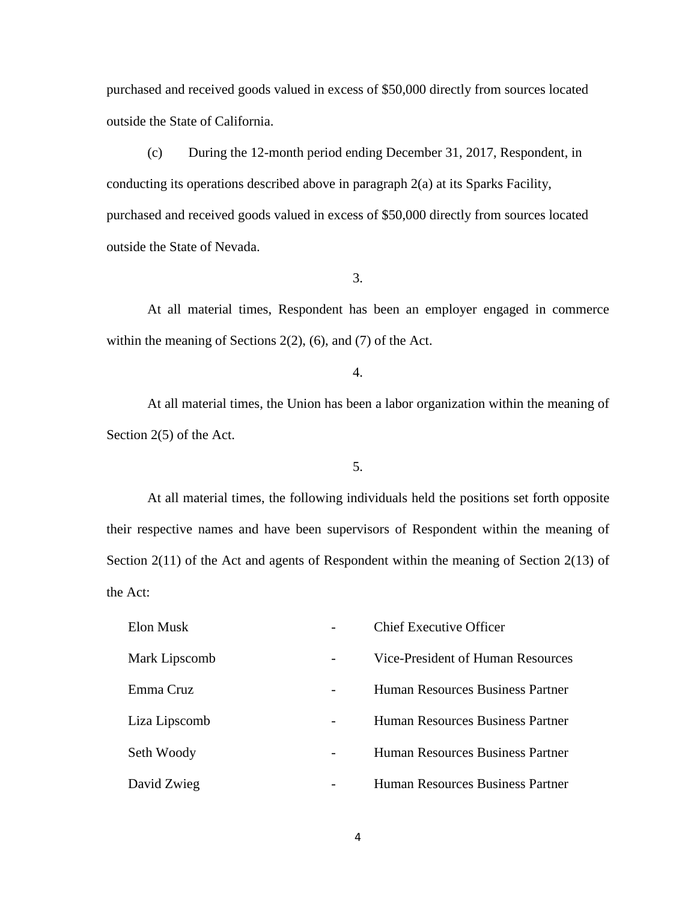purchased and received goods valued in excess of \$50,000 directly from sources located outside the State of California.

(c) During the 12-month period ending December 31, 2017, Respondent, in conducting its operations described above in paragraph 2(a) at its Sparks Facility, purchased and received goods valued in excess of \$50,000 directly from sources located outside the State of Nevada.

3.

At all material times, Respondent has been an employer engaged in commerce within the meaning of Sections 2(2), (6), and (7) of the Act.

4.

At all material times, the Union has been a labor organization within the meaning of Section 2(5) of the Act.

5.

At all material times, the following individuals held the positions set forth opposite their respective names and have been supervisors of Respondent within the meaning of Section 2(11) of the Act and agents of Respondent within the meaning of Section 2(13) of the Act:

| Elon Musk     |   | <b>Chief Executive Officer</b>          |
|---------------|---|-----------------------------------------|
| Mark Lipscomb |   | Vice-President of Human Resources       |
| Emma Cruz     | - | Human Resources Business Partner        |
| Liza Lipscomb |   | <b>Human Resources Business Partner</b> |
| Seth Woody    |   | <b>Human Resources Business Partner</b> |
| David Zwieg   |   | Human Resources Business Partner        |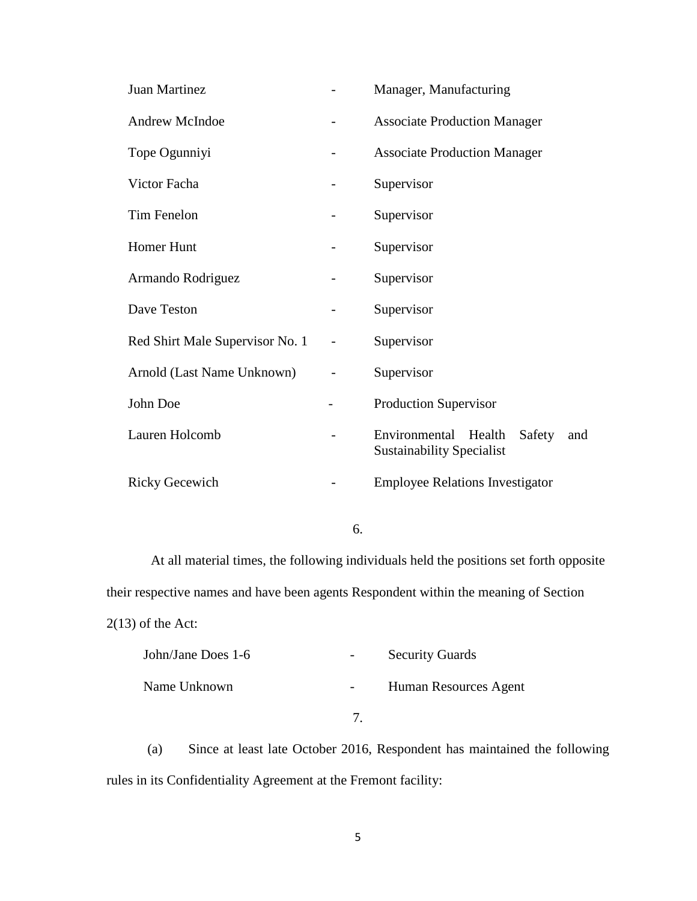| Juan Martinez                   | Manager, Manufacturing                                                    |  |  |
|---------------------------------|---------------------------------------------------------------------------|--|--|
| Andrew McIndoe                  | <b>Associate Production Manager</b>                                       |  |  |
| Tope Ogunniyi                   | <b>Associate Production Manager</b>                                       |  |  |
| Victor Facha                    | Supervisor                                                                |  |  |
| Tim Fenelon                     | Supervisor                                                                |  |  |
| <b>Homer Hunt</b>               | Supervisor                                                                |  |  |
| Armando Rodriguez               | Supervisor                                                                |  |  |
| Dave Teston                     | Supervisor                                                                |  |  |
| Red Shirt Male Supervisor No. 1 | Supervisor                                                                |  |  |
| Arnold (Last Name Unknown)      | Supervisor                                                                |  |  |
| John Doe                        | <b>Production Supervisor</b>                                              |  |  |
| Lauren Holcomb                  | Environmental Health<br>Safety<br>and<br><b>Sustainability Specialist</b> |  |  |
| <b>Ricky Gecewich</b>           | <b>Employee Relations Investigator</b>                                    |  |  |

6.

 At all material times, the following individuals held the positions set forth opposite their respective names and have been agents Respondent within the meaning of Section  $2(13)$  of the Act:

| John/Jane Does 1-6 | <b>Security Guards</b> |
|--------------------|------------------------|
| Name Unknown       | Human Resources Agent  |
|                    |                        |

(a) Since at least late October 2016, Respondent has maintained the following rules in its Confidentiality Agreement at the Fremont facility: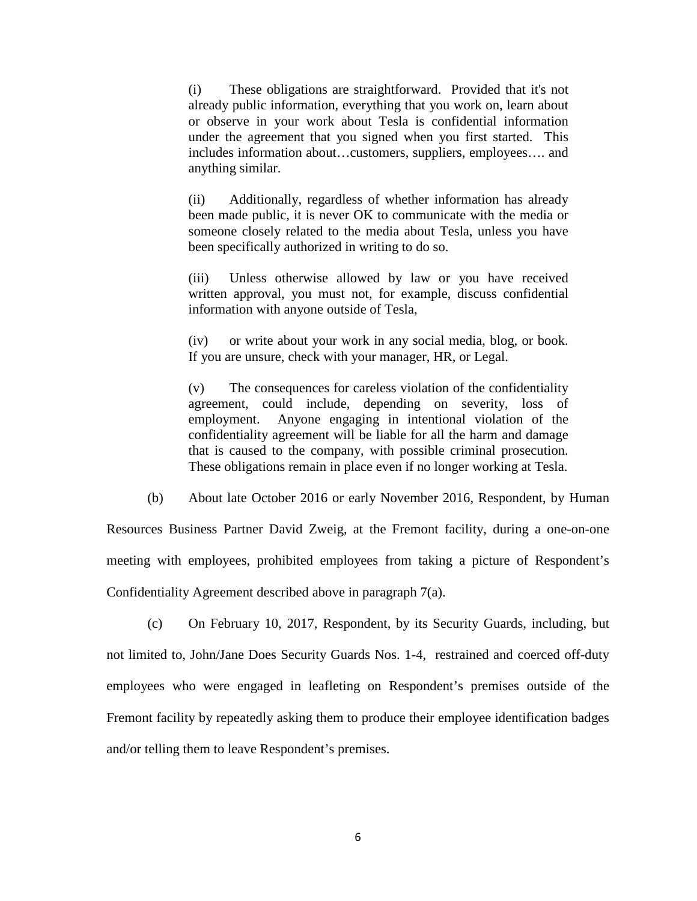(i) These obligations are straightforward. Provided that it's not already public information, everything that you work on, learn about or observe in your work about Tesla is confidential information under the agreement that you signed when you first started. This includes information about…customers, suppliers, employees…. and anything similar.

(ii) Additionally, regardless of whether information has already been made public, it is never OK to communicate with the media or someone closely related to the media about Tesla, unless you have been specifically authorized in writing to do so.

(iii) Unless otherwise allowed by law or you have received written approval, you must not, for example, discuss confidential information with anyone outside of Tesla,

(iv) or write about your work in any social media, blog, or book. If you are unsure, check with your manager, HR, or Legal.

(v) The consequences for careless violation of the confidentiality agreement, could include, depending on severity, loss of employment. Anyone engaging in intentional violation of the confidentiality agreement will be liable for all the harm and damage that is caused to the company, with possible criminal prosecution. These obligations remain in place even if no longer working at Tesla.

(b) About late October 2016 or early November 2016, Respondent, by Human

Resources Business Partner David Zweig, at the Fremont facility, during a one-on-one meeting with employees, prohibited employees from taking a picture of Respondent's Confidentiality Agreement described above in paragraph 7(a).

(c) On February 10, 2017, Respondent, by its Security Guards, including, but not limited to, John/Jane Does Security Guards Nos. 1-4, restrained and coerced off-duty employees who were engaged in leafleting on Respondent's premises outside of the Fremont facility by repeatedly asking them to produce their employee identification badges and/or telling them to leave Respondent's premises.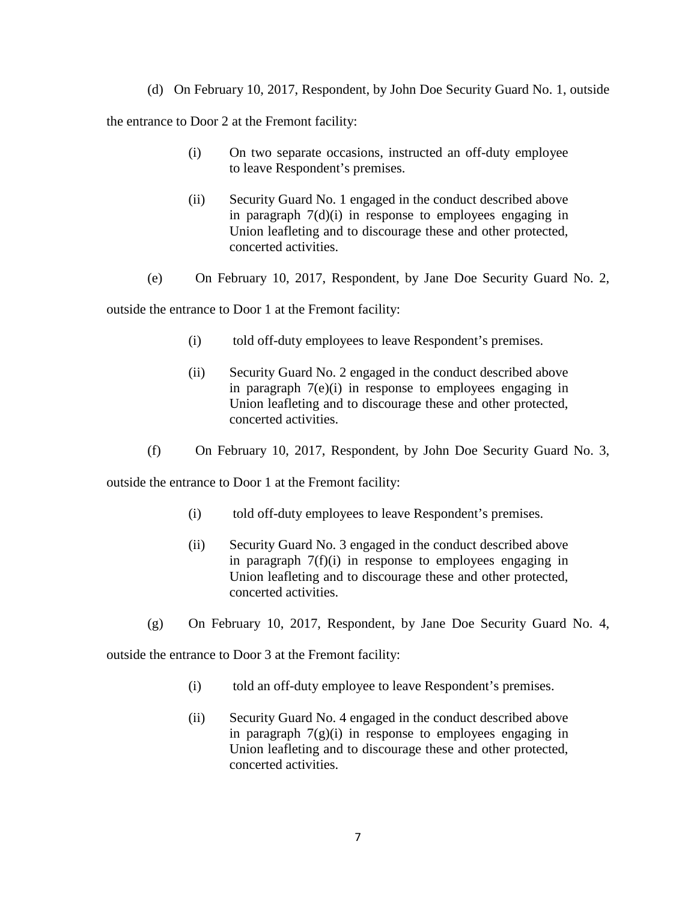(d) On February 10, 2017, Respondent, by John Doe Security Guard No. 1, outside

the entrance to Door 2 at the Fremont facility:

- (i) On two separate occasions, instructed an off-duty employee to leave Respondent's premises.
- (ii) Security Guard No. 1 engaged in the conduct described above in paragraph 7(d)(i) in response to employees engaging in Union leafleting and to discourage these and other protected, concerted activities.
- (e) On February 10, 2017, Respondent, by Jane Doe Security Guard No. 2,

outside the entrance to Door 1 at the Fremont facility:

- (i) told off-duty employees to leave Respondent's premises.
- (ii) Security Guard No. 2 engaged in the conduct described above in paragraph 7(e)(i) in response to employees engaging in Union leafleting and to discourage these and other protected, concerted activities.
- (f) On February 10, 2017, Respondent, by John Doe Security Guard No. 3,

outside the entrance to Door 1 at the Fremont facility:

- (i) told off-duty employees to leave Respondent's premises.
- (ii) Security Guard No. 3 engaged in the conduct described above in paragraph 7(f)(i) in response to employees engaging in Union leafleting and to discourage these and other protected, concerted activities.
- (g) On February 10, 2017, Respondent, by Jane Doe Security Guard No. 4,

outside the entrance to Door 3 at the Fremont facility:

- (i) told an off-duty employee to leave Respondent's premises.
- (ii) Security Guard No. 4 engaged in the conduct described above in paragraph  $7(g)(i)$  in response to employees engaging in Union leafleting and to discourage these and other protected, concerted activities.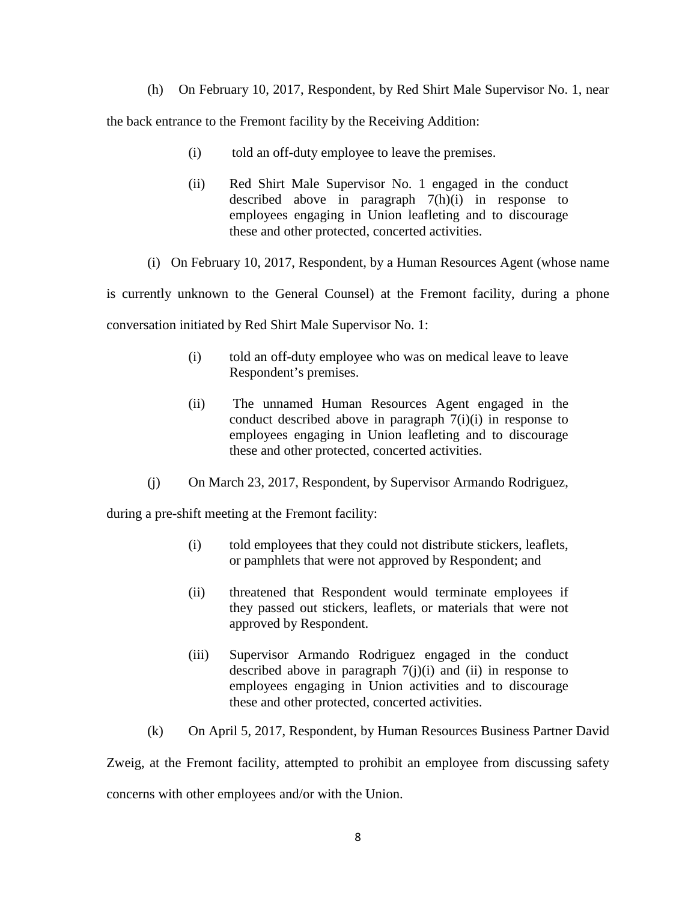(h) On February 10, 2017, Respondent, by Red Shirt Male Supervisor No. 1, near

the back entrance to the Fremont facility by the Receiving Addition:

- (i) told an off-duty employee to leave the premises.
- (ii) Red Shirt Male Supervisor No. 1 engaged in the conduct described above in paragraph 7(h)(i) in response to employees engaging in Union leafleting and to discourage these and other protected, concerted activities.
- (i) On February 10, 2017, Respondent, by a Human Resources Agent (whose name

is currently unknown to the General Counsel) at the Fremont facility, during a phone conversation initiated by Red Shirt Male Supervisor No. 1:

- (i) told an off-duty employee who was on medical leave to leave Respondent's premises.
- (ii) The unnamed Human Resources Agent engaged in the conduct described above in paragraph 7(i)(i) in response to employees engaging in Union leafleting and to discourage these and other protected, concerted activities.
- (j) On March 23, 2017, Respondent, by Supervisor Armando Rodriguez,

during a pre-shift meeting at the Fremont facility:

- (i) told employees that they could not distribute stickers, leaflets, or pamphlets that were not approved by Respondent; and
- (ii) threatened that Respondent would terminate employees if they passed out stickers, leaflets, or materials that were not approved by Respondent.
- (iii) Supervisor Armando Rodriguez engaged in the conduct described above in paragraph  $7(j)(i)$  and (ii) in response to employees engaging in Union activities and to discourage these and other protected, concerted activities.
- (k) On April 5, 2017, Respondent, by Human Resources Business Partner David

Zweig, at the Fremont facility, attempted to prohibit an employee from discussing safety concerns with other employees and/or with the Union.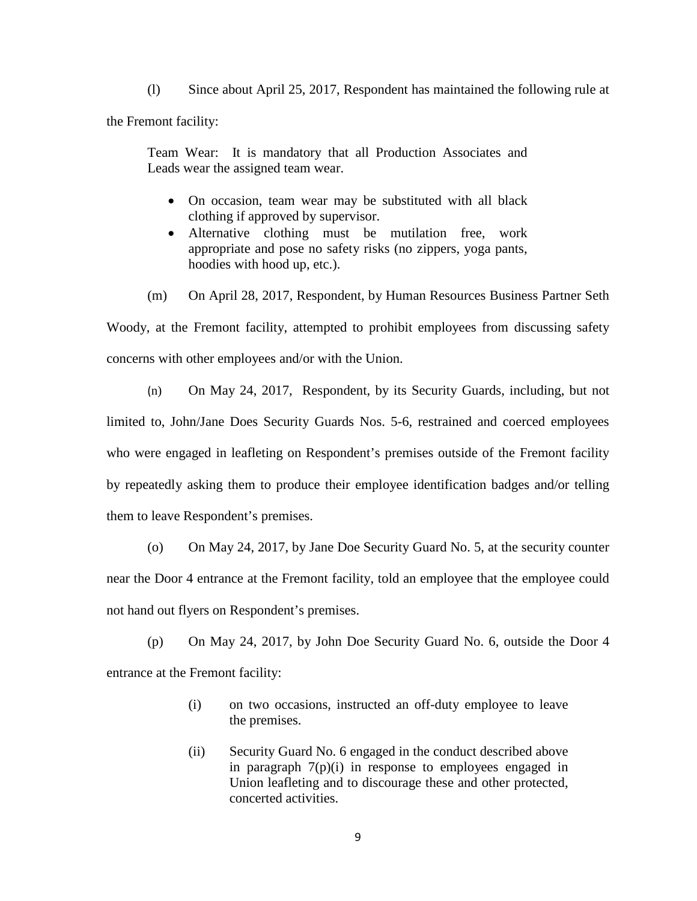(l) Since about April 25, 2017, Respondent has maintained the following rule at the Fremont facility:

Team Wear: It is mandatory that all Production Associates and Leads wear the assigned team wear.

- On occasion, team wear may be substituted with all black clothing if approved by supervisor.
- Alternative clothing must be mutilation free, work appropriate and pose no safety risks (no zippers, yoga pants, hoodies with hood up, etc.).
- (m) On April 28, 2017, Respondent, by Human Resources Business Partner Seth

Woody, at the Fremont facility, attempted to prohibit employees from discussing safety concerns with other employees and/or with the Union.

(n) On May 24, 2017, Respondent, by its Security Guards, including, but not limited to, John/Jane Does Security Guards Nos. 5-6, restrained and coerced employees who were engaged in leafleting on Respondent's premises outside of the Fremont facility by repeatedly asking them to produce their employee identification badges and/or telling them to leave Respondent's premises.

(o) On May 24, 2017, by Jane Doe Security Guard No. 5, at the security counter near the Door 4 entrance at the Fremont facility, told an employee that the employee could not hand out flyers on Respondent's premises.

(p) On May 24, 2017, by John Doe Security Guard No. 6, outside the Door 4 entrance at the Fremont facility:

- (i) on two occasions, instructed an off-duty employee to leave the premises.
- (ii) Security Guard No. 6 engaged in the conduct described above in paragraph  $7(p)(i)$  in response to employees engaged in Union leafleting and to discourage these and other protected, concerted activities.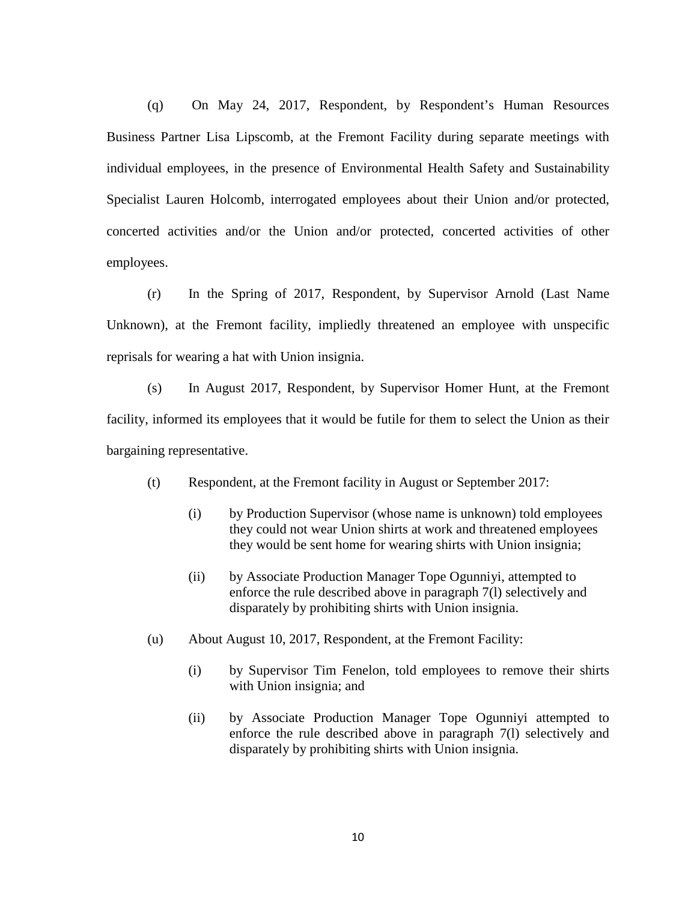(q) On May 24, 2017, Respondent, by Respondent's Human Resources Business Partner Lisa Lipscomb, at the Fremont Facility during separate meetings with individual employees, in the presence of Environmental Health Safety and Sustainability Specialist Lauren Holcomb, interrogated employees about their Union and/or protected, concerted activities and/or the Union and/or protected, concerted activities of other employees.

(r) In the Spring of 2017, Respondent, by Supervisor Arnold (Last Name Unknown), at the Fremont facility, impliedly threatened an employee with unspecific reprisals for wearing a hat with Union insignia.

(s) In August 2017, Respondent, by Supervisor Homer Hunt, at the Fremont facility, informed its employees that it would be futile for them to select the Union as their bargaining representative.

- (t) Respondent, at the Fremont facility in August or September 2017:
	- (i) by Production Supervisor (whose name is unknown) told employees they could not wear Union shirts at work and threatened employees they would be sent home for wearing shirts with Union insignia;
	- (ii) by Associate Production Manager Tope Ogunniyi, attempted to enforce the rule described above in paragraph 7(l) selectively and disparately by prohibiting shirts with Union insignia.
- (u) About August 10, 2017, Respondent, at the Fremont Facility:
	- (i) by Supervisor Tim Fenelon, told employees to remove their shirts with Union insignia; and
	- (ii) by Associate Production Manager Tope Ogunniyi attempted to enforce the rule described above in paragraph 7(l) selectively and disparately by prohibiting shirts with Union insignia.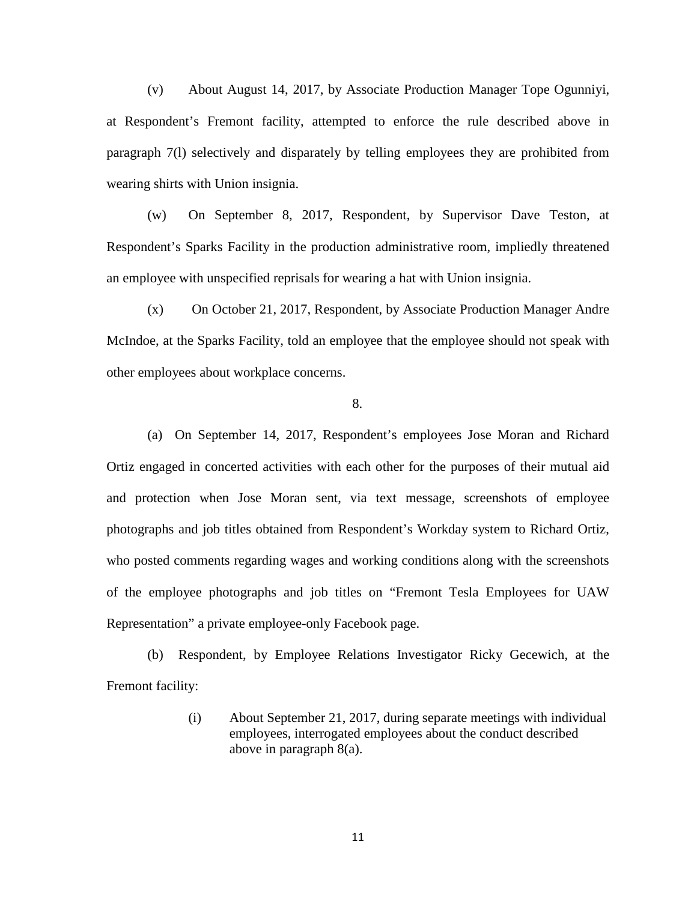(v) About August 14, 2017, by Associate Production Manager Tope Ogunniyi, at Respondent's Fremont facility, attempted to enforce the rule described above in paragraph 7(l) selectively and disparately by telling employees they are prohibited from wearing shirts with Union insignia.

(w) On September 8, 2017, Respondent, by Supervisor Dave Teston, at Respondent's Sparks Facility in the production administrative room, impliedly threatened an employee with unspecified reprisals for wearing a hat with Union insignia.

(x) On October 21, 2017, Respondent, by Associate Production Manager Andre McIndoe, at the Sparks Facility, told an employee that the employee should not speak with other employees about workplace concerns.

8.

(a) On September 14, 2017, Respondent's employees Jose Moran and Richard Ortiz engaged in concerted activities with each other for the purposes of their mutual aid and protection when Jose Moran sent, via text message, screenshots of employee photographs and job titles obtained from Respondent's Workday system to Richard Ortiz, who posted comments regarding wages and working conditions along with the screenshots of the employee photographs and job titles on "Fremont Tesla Employees for UAW Representation" a private employee-only Facebook page.

(b) Respondent, by Employee Relations Investigator Ricky Gecewich, at the Fremont facility:

> (i) About September 21, 2017, during separate meetings with individual employees, interrogated employees about the conduct described above in paragraph 8(a).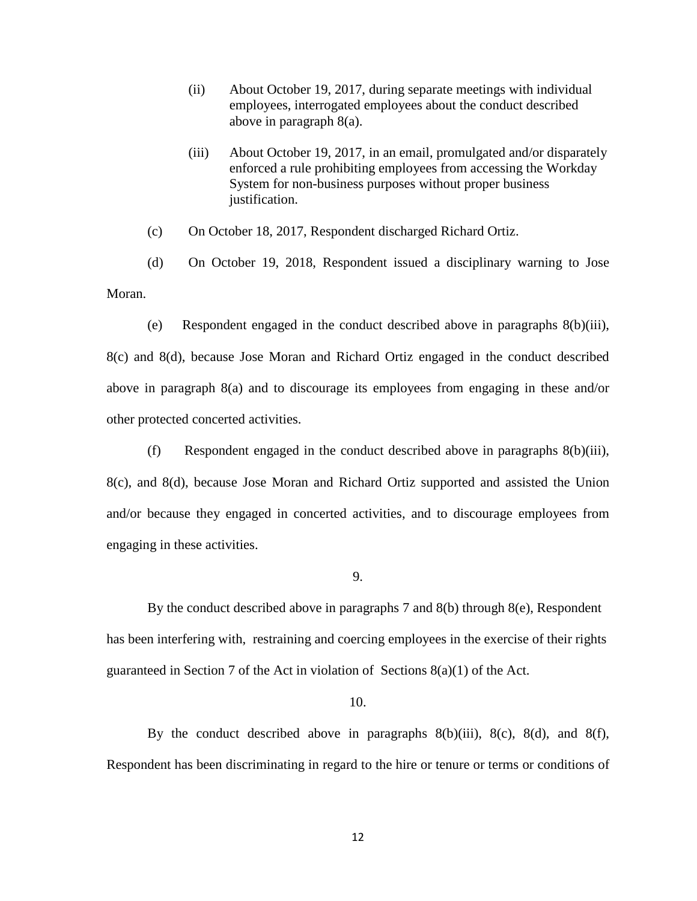- (ii) About October 19, 2017, during separate meetings with individual employees, interrogated employees about the conduct described above in paragraph 8(a).
- (iii) About October 19, 2017, in an email, promulgated and/or disparately enforced a rule prohibiting employees from accessing the Workday System for non-business purposes without proper business justification.

(c) On October 18, 2017, Respondent discharged Richard Ortiz.

(d) On October 19, 2018, Respondent issued a disciplinary warning to Jose Moran.

(e) Respondent engaged in the conduct described above in paragraphs 8(b)(iii),

8(c) and 8(d), because Jose Moran and Richard Ortiz engaged in the conduct described above in paragraph 8(a) and to discourage its employees from engaging in these and/or other protected concerted activities.

(f) Respondent engaged in the conduct described above in paragraphs 8(b)(iii), 8(c), and 8(d), because Jose Moran and Richard Ortiz supported and assisted the Union and/or because they engaged in concerted activities, and to discourage employees from engaging in these activities.

9.

By the conduct described above in paragraphs 7 and  $8(b)$  through  $8(e)$ , Respondent has been interfering with, restraining and coercing employees in the exercise of their rights guaranteed in Section 7 of the Act in violation of Sections  $8(a)(1)$  of the Act.

## 10.

By the conduct described above in paragraphs  $8(b)(iii)$ ,  $8(c)$ ,  $8(d)$ , and  $8(f)$ , Respondent has been discriminating in regard to the hire or tenure or terms or conditions of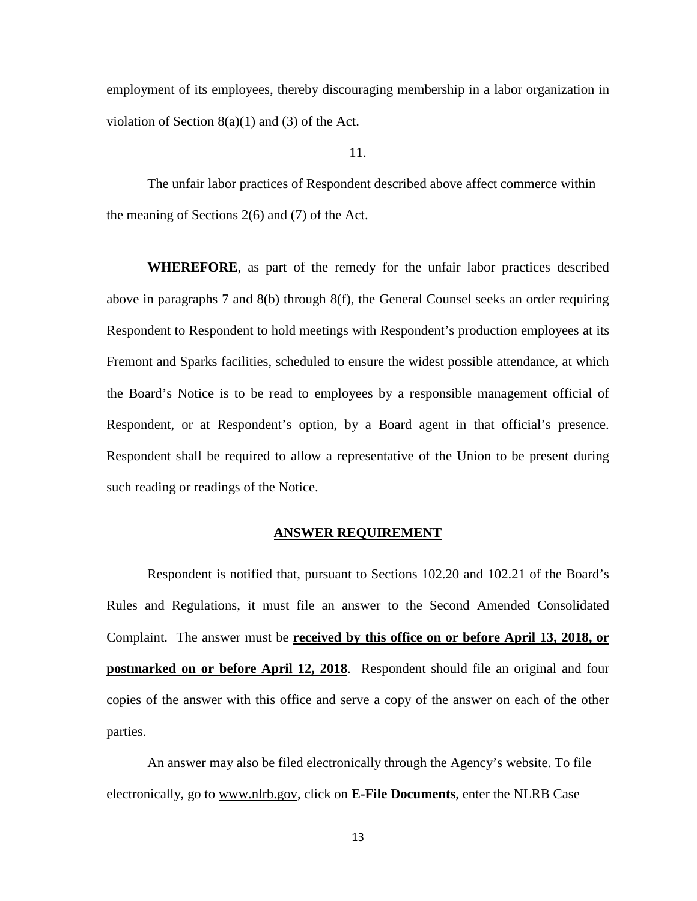employment of its employees, thereby discouraging membership in a labor organization in violation of Section  $8(a)(1)$  and  $(3)$  of the Act.

11.

The unfair labor practices of Respondent described above affect commerce within the meaning of Sections 2(6) and (7) of the Act.

**WHEREFORE**, as part of the remedy for the unfair labor practices described above in paragraphs 7 and 8(b) through 8(f), the General Counsel seeks an order requiring Respondent to Respondent to hold meetings with Respondent's production employees at its Fremont and Sparks facilities, scheduled to ensure the widest possible attendance, at which the Board's Notice is to be read to employees by a responsible management official of Respondent, or at Respondent's option, by a Board agent in that official's presence. Respondent shall be required to allow a representative of the Union to be present during such reading or readings of the Notice.

### **ANSWER REQUIREMENT**

Respondent is notified that, pursuant to Sections 102.20 and 102.21 of the Board's Rules and Regulations, it must file an answer to the Second Amended Consolidated Complaint. The answer must be **received by this office on or before April 13, 2018, or postmarked on or before April 12, 2018**. Respondent should file an original and four copies of the answer with this office and serve a copy of the answer on each of the other parties.

An answer may also be filed electronically through the Agency's website. To file electronically, go to www.nlrb.gov, click on **E-File Documents**, enter the NLRB Case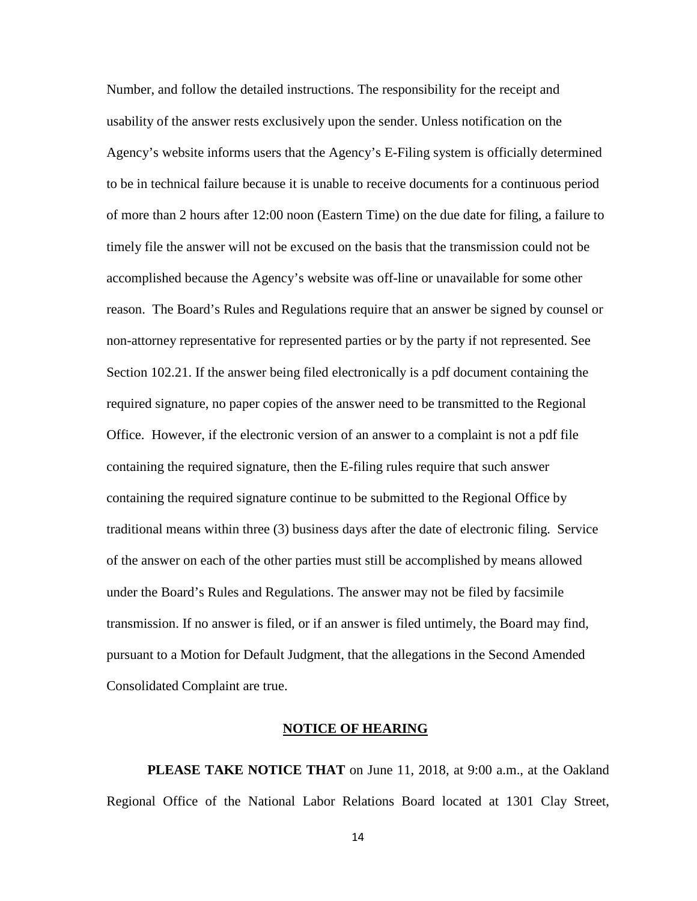Number, and follow the detailed instructions. The responsibility for the receipt and usability of the answer rests exclusively upon the sender. Unless notification on the Agency's website informs users that the Agency's E-Filing system is officially determined to be in technical failure because it is unable to receive documents for a continuous period of more than 2 hours after 12:00 noon (Eastern Time) on the due date for filing, a failure to timely file the answer will not be excused on the basis that the transmission could not be accomplished because the Agency's website was off-line or unavailable for some other reason. The Board's Rules and Regulations require that an answer be signed by counsel or non-attorney representative for represented parties or by the party if not represented. See Section 102.21. If the answer being filed electronically is a pdf document containing the required signature, no paper copies of the answer need to be transmitted to the Regional Office. However, if the electronic version of an answer to a complaint is not a pdf file containing the required signature, then the E-filing rules require that such answer containing the required signature continue to be submitted to the Regional Office by traditional means within three (3) business days after the date of electronic filing. Service of the answer on each of the other parties must still be accomplished by means allowed under the Board's Rules and Regulations. The answer may not be filed by facsimile transmission. If no answer is filed, or if an answer is filed untimely, the Board may find, pursuant to a Motion for Default Judgment, that the allegations in the Second Amended Consolidated Complaint are true.

### **NOTICE OF HEARING**

**PLEASE TAKE NOTICE THAT** on June 11, 2018, at 9:00 a.m., at the Oakland Regional Office of the National Labor Relations Board located at 1301 Clay Street,